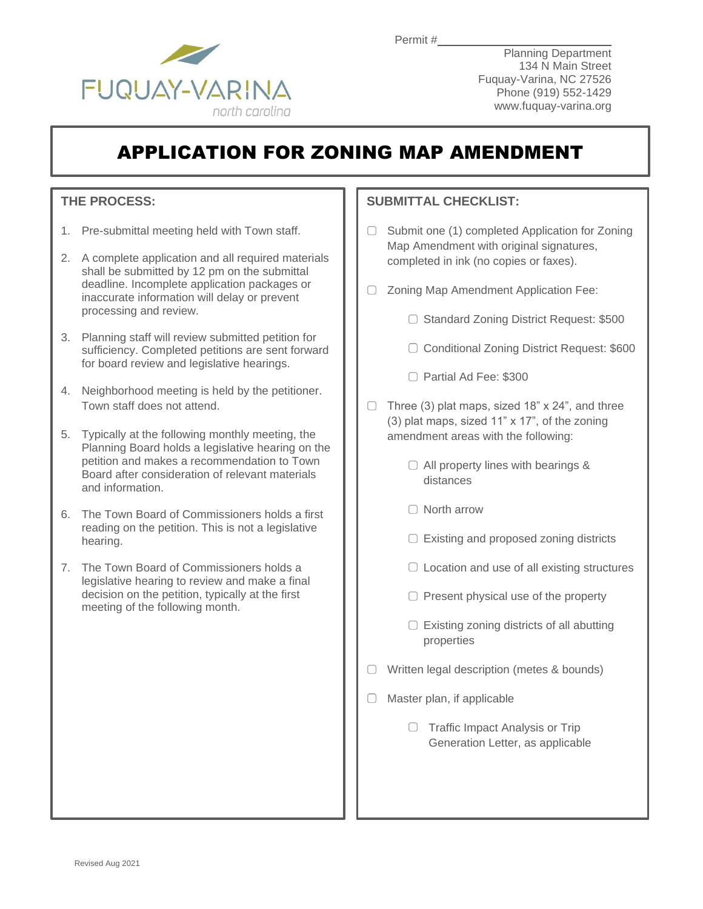

Permit #

Planning Department 134 N Main Street Fuquay-Varina, NC 27526 Phone (919) 552-1429 www.fuquay-varina.org

## APPLICATION FOR ZONING MAP AMENDMENT

### **THE PROCESS:**

- 1. Pre-submittal meeting held with Town staff.
- 2. A complete application and all required materials shall be submitted by 12 pm on the submittal deadline. Incomplete application packages or inaccurate information will delay or prevent processing and review.
- 3. Planning staff will review submitted petition for sufficiency. Completed petitions are sent forward for board review and legislative hearings.
- 4. Neighborhood meeting is held by the petitioner. Town staff does not attend.
- 5. Typically at the following monthly meeting, the Planning Board holds a legislative hearing on the petition and makes a recommendation to Town Board after consideration of relevant materials and information.
- 6. The Town Board of Commissioners holds a first reading on the petition. This is not a legislative hearing.
- 7. The Town Board of Commissioners holds a legislative hearing to review and make a final decision on the petition, typically at the first meeting of the following month.

### **SUBMITTAL CHECKLIST:**

- Submit one (1) completed Application for Zoning 0. Map Amendment with original signatures, completed in ink (no copies or faxes).
- Zoning Map Amendment Application Fee:
	- ◯ Standard Zoning District Request: \$500
	- □ Conditional Zoning District Request: \$600
	- Partial Ad Fee: \$300
- $\Box$  Three (3) plat maps, sized 18" x 24", and three (3) plat maps, sized 11" x 17", of the zoning amendment areas with the following:
	- $\Box$  All property lines with bearings & distances
	- □ North arrow
	- $\Box$  Existing and proposed zoning districts
	- $\Box$  Location and use of all existing structures
	- $\Box$  Present physical use of the property
	- $\Box$  Existing zoning districts of all abutting properties
- $\Box$  Written legal description (metes & bounds)
- $\Box$  Master plan, if applicable
	- $\Box$  Traffic Impact Analysis or Trip Generation Letter, as applicable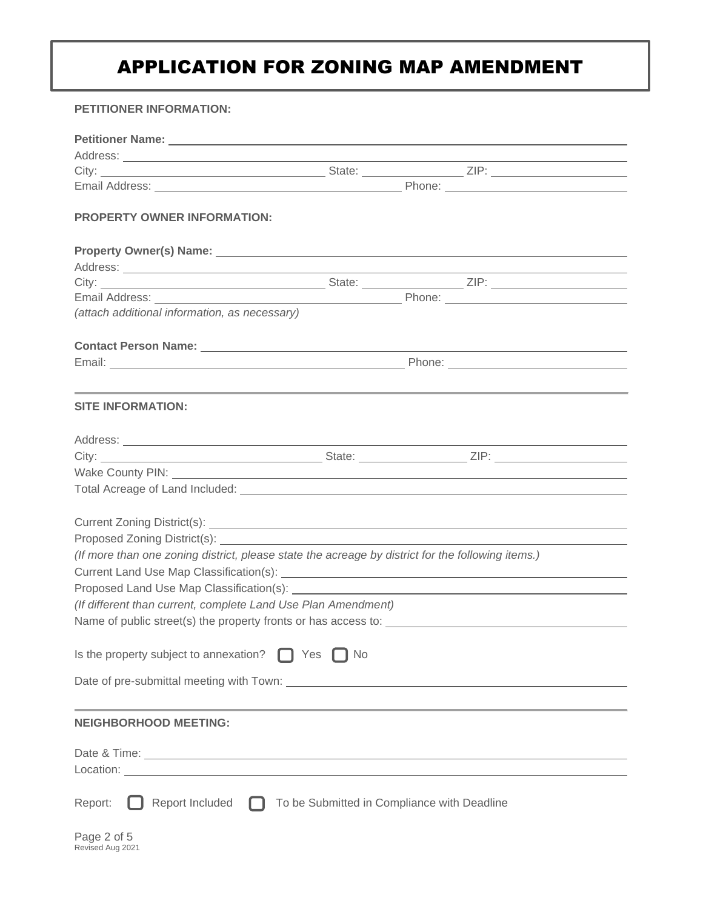# APPLICATION FOR ZONING MAP AMENDMENT

#### **PETITIONER INFORMATION:**

| <b>PROPERTY OWNER INFORMATION:</b>                                                                |                                             |  |  |  |  |  |
|---------------------------------------------------------------------------------------------------|---------------------------------------------|--|--|--|--|--|
|                                                                                                   |                                             |  |  |  |  |  |
|                                                                                                   |                                             |  |  |  |  |  |
|                                                                                                   |                                             |  |  |  |  |  |
|                                                                                                   |                                             |  |  |  |  |  |
| (attach additional information, as necessary)                                                     |                                             |  |  |  |  |  |
|                                                                                                   |                                             |  |  |  |  |  |
|                                                                                                   |                                             |  |  |  |  |  |
|                                                                                                   |                                             |  |  |  |  |  |
| <b>SITE INFORMATION:</b>                                                                          |                                             |  |  |  |  |  |
|                                                                                                   |                                             |  |  |  |  |  |
|                                                                                                   |                                             |  |  |  |  |  |
|                                                                                                   |                                             |  |  |  |  |  |
|                                                                                                   |                                             |  |  |  |  |  |
|                                                                                                   |                                             |  |  |  |  |  |
|                                                                                                   |                                             |  |  |  |  |  |
|                                                                                                   |                                             |  |  |  |  |  |
| (If more than one zoning district, please state the acreage by district for the following items.) |                                             |  |  |  |  |  |
|                                                                                                   |                                             |  |  |  |  |  |
|                                                                                                   |                                             |  |  |  |  |  |
| (If different than current, complete Land Use Plan Amendment)                                     |                                             |  |  |  |  |  |
|                                                                                                   |                                             |  |  |  |  |  |
| Is the property subject to annexation?<br>Yes<br>No                                               |                                             |  |  |  |  |  |
|                                                                                                   |                                             |  |  |  |  |  |
| <b>NEIGHBORHOOD MEETING:</b>                                                                      |                                             |  |  |  |  |  |
|                                                                                                   |                                             |  |  |  |  |  |
|                                                                                                   |                                             |  |  |  |  |  |
|                                                                                                   |                                             |  |  |  |  |  |
| Report Included<br>Report:<br>. .                                                                 | To be Submitted in Compliance with Deadline |  |  |  |  |  |
| Page 2 of 5<br>Revised Aug 2021                                                                   |                                             |  |  |  |  |  |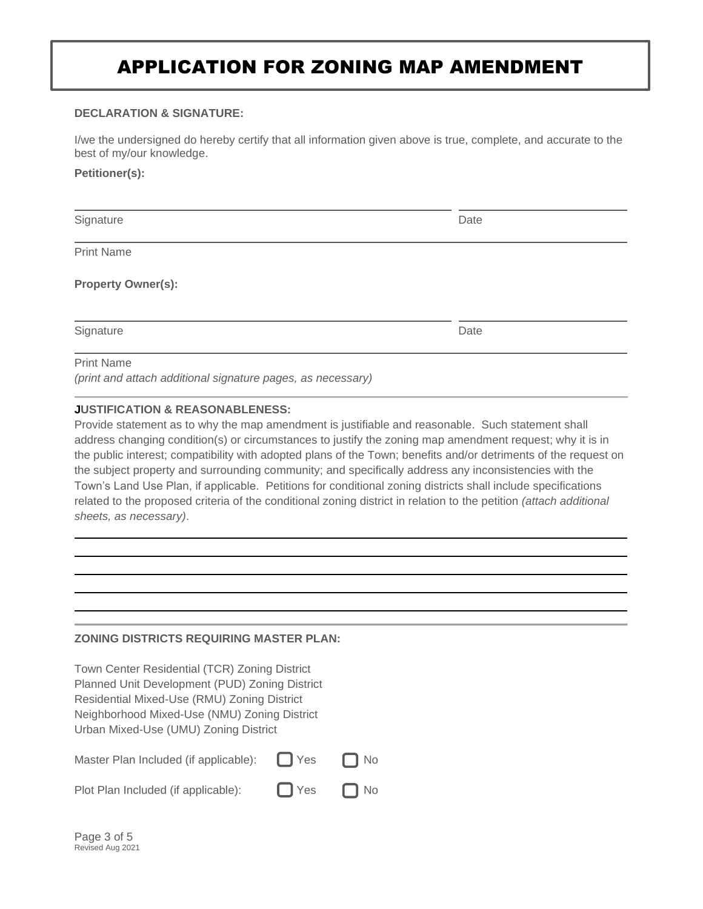### APPLICATION FOR ZONING MAP AMENDMENT

#### **DECLARATION & SIGNATURE:**

I/we the undersigned do hereby certify that all information given above is true, complete, and accurate to the best of my/our knowledge.

#### **Petitioner(s):**

| Signature         | Date |
|-------------------|------|
| <b>Print Name</b> |      |

**Property Owner(s):**

Signature Date Date of the Date of the Date of the Date Date of the Date of the Date of the Date of the Date of the Date of the Date of the Date of the Date of the Date of the Date of the Date of the Date of the Date of th

Print Name

*(print and attach additional signature pages, as necessary)*

#### **JUSTIFICATION & REASONABLENESS:**

Provide statement as to why the map amendment is justifiable and reasonable. Such statement shall address changing condition(s) or circumstances to justify the zoning map amendment request; why it is in the public interest; compatibility with adopted plans of the Town; benefits and/or detriments of the request on the subject property and surrounding community; and specifically address any inconsistencies with the Town's Land Use Plan, if applicable. Petitions for conditional zoning districts shall include specifications related to the proposed criteria of the conditional zoning district in relation to the petition *(attach additional sheets, as necessary)*.

#### **ZONING DISTRICTS REQUIRING MASTER PLAN:**

Town Center Residential (TCR) Zoning District Planned Unit Development (PUD) Zoning District Residential Mixed-Use (RMU) Zoning District Neighborhood Mixed-Use (NMU) Zoning District Urban Mixed-Use (UMU) Zoning District

| Master Plan Included (if applicable): | $\Box$ Yes           | $\Box$ No |
|---------------------------------------|----------------------|-----------|
| Plot Plan Included (if applicable):   | $\Box$ Yes $\Box$ No |           |

| Page 3 of 5      |  |  |
|------------------|--|--|
| Revised Aug 2021 |  |  |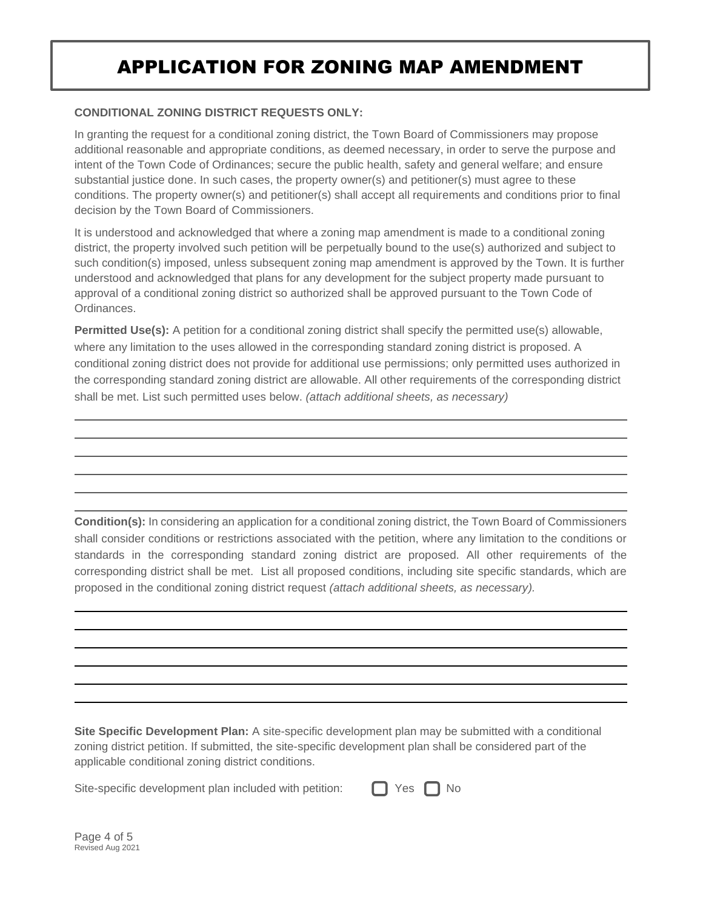## APPLICATION FOR ZONING MAP AMENDMENT

#### **CONDITIONAL ZONING DISTRICT REQUESTS ONLY:**

In granting the request for a conditional zoning district, the Town Board of Commissioners may propose additional reasonable and appropriate conditions, as deemed necessary, in order to serve the purpose and intent of the Town Code of Ordinances; secure the public health, safety and general welfare; and ensure substantial justice done. In such cases, the property owner(s) and petitioner(s) must agree to these conditions. The property owner(s) and petitioner(s) shall accept all requirements and conditions prior to final decision by the Town Board of Commissioners.

It is understood and acknowledged that where a zoning map amendment is made to a conditional zoning district, the property involved such petition will be perpetually bound to the use(s) authorized and subject to such condition(s) imposed, unless subsequent zoning map amendment is approved by the Town. It is further understood and acknowledged that plans for any development for the subject property made pursuant to approval of a conditional zoning district so authorized shall be approved pursuant to the Town Code of Ordinances.

**Permitted Use(s):** A petition for a conditional zoning district shall specify the permitted use(s) allowable, where any limitation to the uses allowed in the corresponding standard zoning district is proposed. A conditional zoning district does not provide for additional use permissions; only permitted uses authorized in the corresponding standard zoning district are allowable. All other requirements of the corresponding district shall be met. List such permitted uses below. *(attach additional sheets, as necessary)*

**Condition(s):** In considering an application for a conditional zoning district, the Town Board of Commissioners shall consider conditions or restrictions associated with the petition, where any limitation to the conditions or standards in the corresponding standard zoning district are proposed. All other requirements of the corresponding district shall be met. List all proposed conditions, including site specific standards, which are proposed in the conditional zoning district request *(attach additional sheets, as necessary).*

**Site Specific Development Plan:** A site-specific development plan may be submitted with a conditional zoning district petition. If submitted, the site-specific development plan shall be considered part of the applicable conditional zoning district conditions.

Site-specific development plan included with petition:  $\Box$  Yes  $\Box$  No